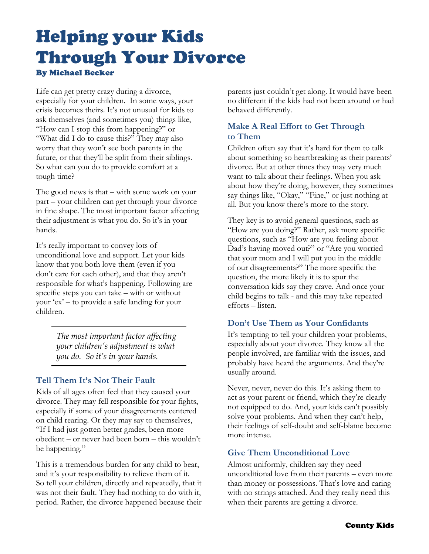# Helping your Kids Through Your Divorce By Michael Becker

Life can get pretty crazy during a divorce, especially for your children. In some ways, your crisis becomes theirs. It's not unusual for kids to ask themselves (and sometimes you) things like, "How can I stop this from happening?" or "What did I do to cause this?" They may also worry that they won't see both parents in the future, or that they'll be split from their siblings. So what can you do to provide comfort at a tough time?

The good news is that – with some work on your part – your children can get through your divorce in fine shape. The most important factor affecting their adjustment is what you do. So it's in your hands.

It's really important to convey lots of unconditional love and support. Let your kids know that you both love them (even if you don't care for each other), and that they aren't responsible for what's happening. Following are specific steps you can take – with or without your 'ex' – to provide a safe landing for your children.

> *The most important factor affecting your children's adjustment is what you do. So it's in your hands.*

# **Tell Them It's Not Their Fault**

Kids of all ages often feel that they caused your divorce. They may fell responsible for your fights, especially if some of your disagreements centered on child rearing. Or they may say to themselves, "If I had just gotten better grades, been more obedient – or never had been born – this wouldn't be happening."

This is a tremendous burden for any child to bear, and it's your responsibility to relieve them of it. So tell your children, directly and repeatedly, that it was not their fault. They had nothing to do with it, period. Rather, the divorce happened because their parents just couldn't get along. It would have been no different if the kids had not been around or had behaved differently.

# **Make A Real Effort to Get Through to Them**

Children often say that it's hard for them to talk about something so heartbreaking as their parents' divorce. But at other times they may very much want to talk about their feelings. When you ask about how they're doing, however, they sometimes say things like, "Okay," "Fine," or just nothing at all. But you know there's more to the story.

They key is to avoid general questions, such as "How are you doing?" Rather, ask more specific questions, such as "How are you feeling about Dad's having moved out?" or "Are you worried that your mom and I will put you in the middle of our disagreements?" The more specific the question, the more likely it is to spur the conversation kids say they crave. And once your child begins to talk - and this may take repeated efforts – listen.

# **Don't Use Them as Your Confidants**

It's tempting to tell your children your problems, especially about your divorce. They know all the people involved, are familiar with the issues, and probably have heard the arguments. And they're usually around.

Never, never, never do this. It's asking them to act as your parent or friend, which they're clearly not equipped to do. And, your kids can't possibly solve your problems. And when they can't help, their feelings of self-doubt and self-blame become more intense.

#### **Give Them Unconditional Love**

Almost uniformly, children say they need unconditional love from their parents – even more than money or possessions. That's love and caring with no strings attached. And they really need this when their parents are getting a divorce.